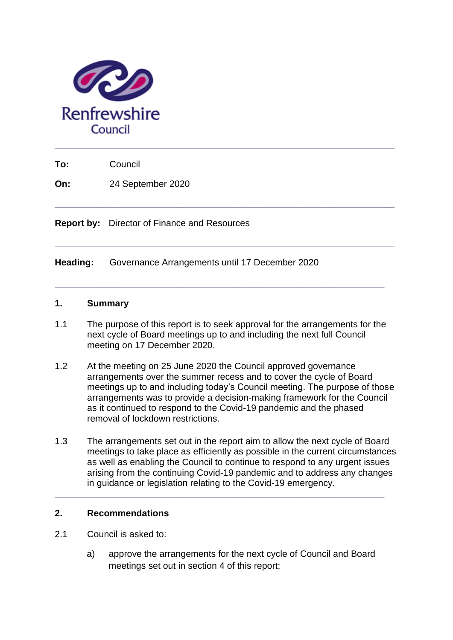

**To:** Council

**On:** 24 September 2020

**Report by:** Director of Finance and Resources

**Heading:** Governance Arrangements until 17 December 2020

### **1. Summary**

1.1 The purpose of this report is to seek approval for the arrangements for the next cycle of Board meetings up to and including the next full Council meeting on 17 December 2020.

**\_\_\_\_\_\_\_\_\_\_\_\_\_\_\_\_\_\_\_\_\_\_\_\_\_\_\_\_\_\_\_\_\_\_\_\_\_\_\_\_\_\_\_\_\_\_\_\_\_\_\_\_\_\_\_\_\_\_\_\_\_\_\_\_\_**

**\_\_\_\_\_\_\_\_\_\_\_\_\_\_\_\_\_\_\_\_\_\_\_\_\_\_\_\_\_\_\_\_\_\_\_\_\_\_\_\_\_\_\_\_\_\_\_\_\_\_\_\_\_\_\_\_\_\_\_\_\_\_\_\_\_\_\_**

**\_\_\_\_\_\_\_\_\_\_\_\_\_\_\_\_\_\_\_\_\_\_\_\_\_\_\_\_\_\_\_\_\_\_\_\_\_\_\_\_\_\_\_\_\_\_\_\_\_\_\_\_\_\_\_\_\_\_\_\_\_\_\_\_\_\_\_**

- 1.2 At the meeting on 25 June 2020 the Council approved governance arrangements over the summer recess and to cover the cycle of Board meetings up to and including today's Council meeting. The purpose of those arrangements was to provide a decision-making framework for the Council as it continued to respond to the Covid-19 pandemic and the phased removal of lockdown restrictions.
- 1.3 The arrangements set out in the report aim to allow the next cycle of Board meetings to take place as efficiently as possible in the current circumstances as well as enabling the Council to continue to respond to any urgent issues arising from the continuing Covid-19 pandemic and to address any changes in guidance or legislation relating to the Covid-19 emergency.

**\_\_\_\_\_\_\_\_\_\_\_\_\_\_\_\_\_\_\_\_\_\_\_\_\_\_\_\_\_\_\_\_\_\_\_\_\_\_\_\_\_\_\_\_\_\_\_\_\_\_\_\_\_\_\_\_\_\_\_\_\_\_\_\_\_**

# **2. Recommendations**

- 2.1 Council is asked to:
	- a) approve the arrangements for the next cycle of Council and Board meetings set out in section 4 of this report;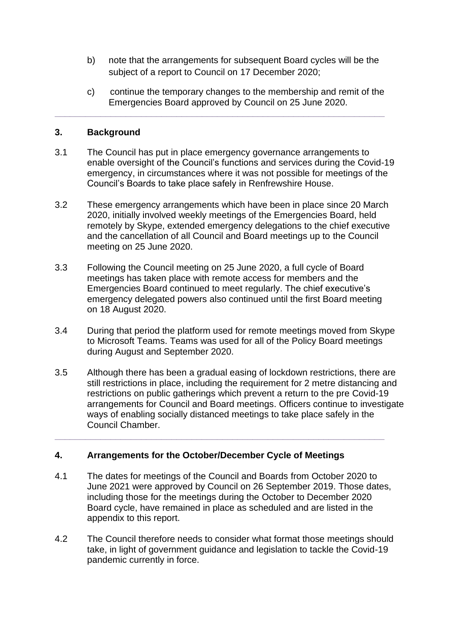- b) note that the arrangements for subsequent Board cycles will be the subject of a report to Council on 17 December 2020;
- c) continue the temporary changes to the membership and remit of the Emergencies Board approved by Council on 25 June 2020.

## **3. Background**

3.1 The Council has put in place emergency governance arrangements to enable oversight of the Council's functions and services during the Covid-19 emergency, in circumstances where it was not possible for meetings of the Council's Boards to take place safely in Renfrewshire House.

**\_\_\_\_\_\_\_\_\_\_\_\_\_\_\_\_\_\_\_\_\_\_\_\_\_\_\_\_\_\_\_\_\_\_\_\_\_\_\_\_\_\_\_\_\_\_\_\_\_\_\_\_\_\_\_\_\_\_\_\_\_\_\_\_\_**

- 3.2 These emergency arrangements which have been in place since 20 March 2020, initially involved weekly meetings of the Emergencies Board, held remotely by Skype, extended emergency delegations to the chief executive and the cancellation of all Council and Board meetings up to the Council meeting on 25 June 2020.
- 3.3 Following the Council meeting on 25 June 2020, a full cycle of Board meetings has taken place with remote access for members and the Emergencies Board continued to meet regularly. The chief executive's emergency delegated powers also continued until the first Board meeting on 18 August 2020.
- 3.4 During that period the platform used for remote meetings moved from Skype to Microsoft Teams. Teams was used for all of the Policy Board meetings during August and September 2020.
- 3.5 Although there has been a gradual easing of lockdown restrictions, there are still restrictions in place, including the requirement for 2 metre distancing and restrictions on public gatherings which prevent a return to the pre Covid-19 arrangements for Council and Board meetings. Officers continue to investigate ways of enabling socially distanced meetings to take place safely in the Council Chamber.

# **4. Arrangements for the October/December Cycle of Meetings**

4.1 The dates for meetings of the Council and Boards from October 2020 to June 2021 were approved by Council on 26 September 2019. Those dates, including those for the meetings during the October to December 2020 Board cycle, have remained in place as scheduled and are listed in the appendix to this report.

**\_\_\_\_\_\_\_\_\_\_\_\_\_\_\_\_\_\_\_\_\_\_\_\_\_\_\_\_\_\_\_\_\_\_\_\_\_\_\_\_\_\_\_\_\_\_\_\_\_\_\_\_\_\_\_\_\_\_\_\_\_\_\_\_\_**

4.2 The Council therefore needs to consider what format those meetings should take, in light of government guidance and legislation to tackle the Covid-19 pandemic currently in force.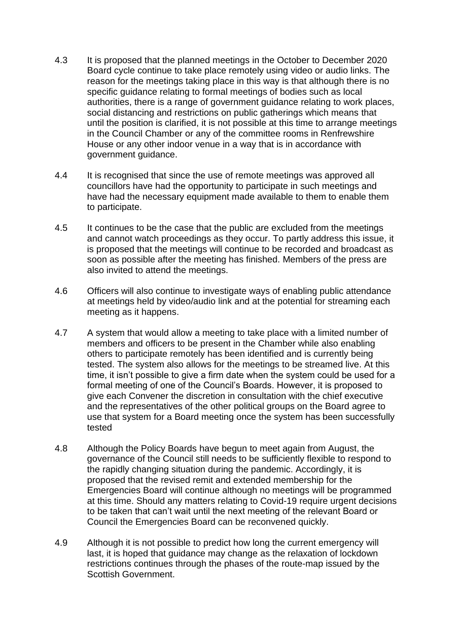- 4.3 It is proposed that the planned meetings in the October to December 2020 Board cycle continue to take place remotely using video or audio links. The reason for the meetings taking place in this way is that although there is no specific guidance relating to formal meetings of bodies such as local authorities, there is a range of government guidance relating to work places, social distancing and restrictions on public gatherings which means that until the position is clarified, it is not possible at this time to arrange meetings in the Council Chamber or any of the committee rooms in Renfrewshire House or any other indoor venue in a way that is in accordance with government guidance.
- 4.4 It is recognised that since the use of remote meetings was approved all councillors have had the opportunity to participate in such meetings and have had the necessary equipment made available to them to enable them to participate.
- 4.5 It continues to be the case that the public are excluded from the meetings and cannot watch proceedings as they occur. To partly address this issue, it is proposed that the meetings will continue to be recorded and broadcast as soon as possible after the meeting has finished. Members of the press are also invited to attend the meetings.
- 4.6 Officers will also continue to investigate ways of enabling public attendance at meetings held by video/audio link and at the potential for streaming each meeting as it happens.
- 4.7 A system that would allow a meeting to take place with a limited number of members and officers to be present in the Chamber while also enabling others to participate remotely has been identified and is currently being tested. The system also allows for the meetings to be streamed live. At this time, it isn't possible to give a firm date when the system could be used for a formal meeting of one of the Council's Boards. However, it is proposed to give each Convener the discretion in consultation with the chief executive and the representatives of the other political groups on the Board agree to use that system for a Board meeting once the system has been successfully tested
- 4.8 Although the Policy Boards have begun to meet again from August, the governance of the Council still needs to be sufficiently flexible to respond to the rapidly changing situation during the pandemic. Accordingly, it is proposed that the revised remit and extended membership for the Emergencies Board will continue although no meetings will be programmed at this time. Should any matters relating to Covid-19 require urgent decisions to be taken that can't wait until the next meeting of the relevant Board or Council the Emergencies Board can be reconvened quickly.
- 4.9 Although it is not possible to predict how long the current emergency will last, it is hoped that guidance may change as the relaxation of lockdown restrictions continues through the phases of the route-map issued by the Scottish Government.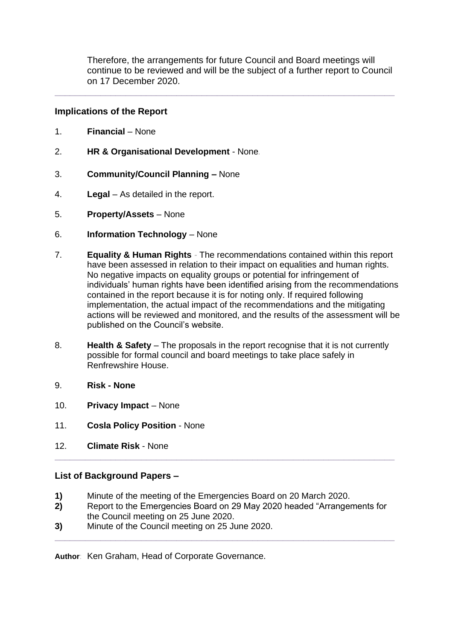Therefore, the arrangements for future Council and Board meetings will continue to be reviewed and will be the subject of a further report to Council on 17 December 2020.

**\_\_\_\_\_\_\_\_\_\_\_\_\_\_\_\_\_\_\_\_\_\_\_\_\_\_\_\_\_\_\_\_\_\_\_\_\_\_\_\_\_\_\_\_\_\_\_\_\_\_\_\_\_\_\_\_\_\_\_\_\_\_\_\_\_\_\_**

## **Implications of the Report**

- 1. **Financial**  None
- 2. **HR & Organisational Development**  None*.*
- 3. **Community/Council Planning –** None
- 4. **Legal**  As detailed in the report.
- 5. **Property/Assets**  None
- 6. **Information Technology**  None
- 7. **Equality & Human Rights** *-* The recommendations contained within this report have been assessed in relation to their impact on equalities and human rights. No negative impacts on equality groups or potential for infringement of individuals' human rights have been identified arising from the recommendations contained in the report because it is for noting only. If required following implementation, the actual impact of the recommendations and the mitigating actions will be reviewed and monitored, and the results of the assessment will be published on the Council's website.
- 8. **Health & Safety**  The proposals in the report recognise that it is not currently possible for formal council and board meetings to take place safely in Renfrewshire House.
- 9. **Risk - None**
- 10. **Privacy Impact**  None
- 11. **Cosla Policy Position**  None
- 12. **Climate Risk** None

#### **List of Background Papers –**

- **1)** Minute of the meeting of the Emergencies Board on 20 March 2020.
- **2)** Report to the Emergencies Board on 29 May 2020 headed "Arrangements for the Council meeting on 25 June 2020.

**\_\_\_\_\_\_\_\_\_\_\_\_\_\_\_\_\_\_\_\_\_\_\_\_\_\_\_\_\_\_\_\_\_\_\_\_\_\_\_\_\_\_\_\_\_\_\_\_\_\_\_\_\_\_\_\_\_\_\_\_\_\_\_\_\_\_\_**

**\_\_\_\_\_\_\_\_\_\_\_\_\_\_\_\_\_\_\_\_\_\_\_\_\_\_\_\_\_\_\_\_\_\_\_\_\_\_\_\_\_\_\_\_\_\_\_\_\_\_\_\_\_\_\_\_\_\_\_\_\_\_\_\_\_\_\_**

**3)** Minute of the Council meeting on 25 June 2020.

**Author**: Ken Graham, Head of Corporate Governance.